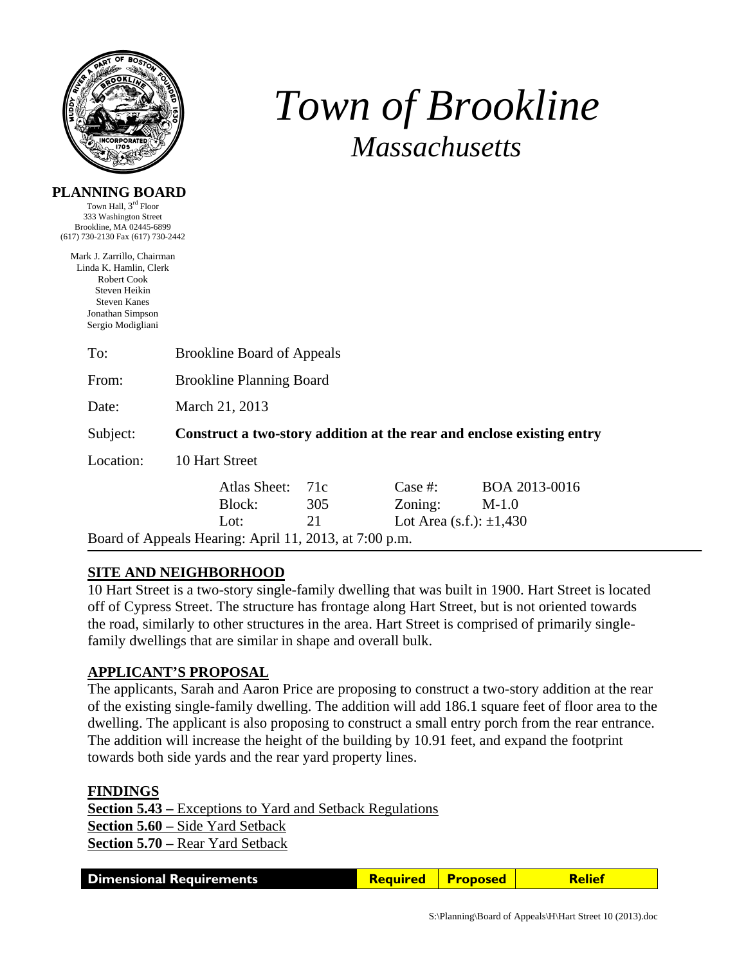

**PLANNING BOARD**  Town Hall, 3<sup>rd</sup> Floor

# *Town of Brookline Massachusetts*

| 333 Washington Street<br>Brookline, MA 02445-6899<br>(617) 730-2130 Fax (617) 730-2442                                                                      |                                                                       |     |            |                                 |  |
|-------------------------------------------------------------------------------------------------------------------------------------------------------------|-----------------------------------------------------------------------|-----|------------|---------------------------------|--|
| Mark J. Zarrillo, Chairman<br>Linda K. Hamlin, Clerk<br><b>Robert Cook</b><br>Steven Heikin<br><b>Steven Kanes</b><br>Jonathan Simpson<br>Sergio Modigliani |                                                                       |     |            |                                 |  |
| To:                                                                                                                                                         | <b>Brookline Board of Appeals</b>                                     |     |            |                                 |  |
| From:                                                                                                                                                       | <b>Brookline Planning Board</b>                                       |     |            |                                 |  |
| Date:                                                                                                                                                       | March 21, 2013                                                        |     |            |                                 |  |
| Subject:                                                                                                                                                    | Construct a two-story addition at the rear and enclose existing entry |     |            |                                 |  |
| Location:                                                                                                                                                   | 10 Hart Street                                                        |     |            |                                 |  |
|                                                                                                                                                             | Atlas Sheet:                                                          | 71c | Case $#$ : | BOA 2013-0016                   |  |
|                                                                                                                                                             | Block:                                                                | 305 | Zoning:    | $M-1.0$                         |  |
|                                                                                                                                                             | Lot:                                                                  | 21  |            | Lot Area $(s.f.)$ : $\pm 1,430$ |  |
|                                                                                                                                                             | Board of Appeals Hearing: April 11, 2013, at 7:00 p.m.                |     |            |                                 |  |

# **SITE AND NEIGHBORHOOD**

10 Hart Street is a two-story single-family dwelling that was built in 1900. Hart Street is located off of Cypress Street. The structure has frontage along Hart Street, but is not oriented towards the road, similarly to other structures in the area. Hart Street is comprised of primarily singlefamily dwellings that are similar in shape and overall bulk.

### **APPLICANT'S PROPOSAL**

The applicants, Sarah and Aaron Price are proposing to construct a two-story addition at the rear of the existing single-family dwelling. The addition will add 186.1 square feet of floor area to the dwelling. The applicant is also proposing to construct a small entry porch from the rear entrance. The addition will increase the height of the building by 10.91 feet, and expand the footprint towards both side yards and the rear yard property lines.

#### **FINDINGS**

**Section 5.43 –** Exceptions to Yard and Setback Regulations **Section 5.60 –** Side Yard Setback **Section 5.70 –** Rear Yard Setback

| <b>Dimensional Requirements</b> | <b>Required</b> | <b>Proposed</b> | Relief |
|---------------------------------|-----------------|-----------------|--------|
|---------------------------------|-----------------|-----------------|--------|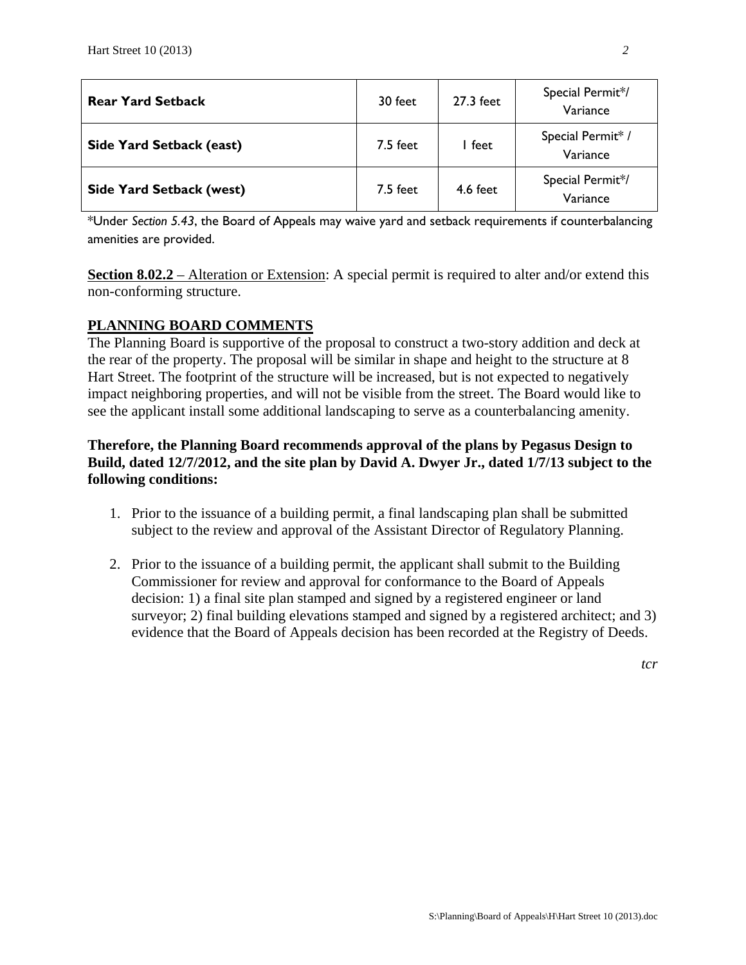| <b>Rear Yard Setback</b>        | 30 feet  | 27.3 feet | Special Permit*/<br>Variance  |
|---------------------------------|----------|-----------|-------------------------------|
| Side Yard Setback (east)        | 7.5 feet | l feet    | Special Permit* /<br>Variance |
| <b>Side Yard Setback (west)</b> | 7.5 feet | 4.6 feet  | Special Permit*/<br>Variance  |

\*Under *Section 5.43*, the Board of Appeals may waive yard and setback requirements if counterbalancing amenities are provided.

**Section 8.02.2** – Alteration or Extension: A special permit is required to alter and/or extend this non-conforming structure.

## **PLANNING BOARD COMMENTS**

The Planning Board is supportive of the proposal to construct a two-story addition and deck at the rear of the property. The proposal will be similar in shape and height to the structure at 8 Hart Street. The footprint of the structure will be increased, but is not expected to negatively impact neighboring properties, and will not be visible from the street. The Board would like to see the applicant install some additional landscaping to serve as a counterbalancing amenity.

# **Therefore, the Planning Board recommends approval of the plans by Pegasus Design to Build, dated 12/7/2012, and the site plan by David A. Dwyer Jr., dated 1/7/13 subject to the following conditions:**

- 1. Prior to the issuance of a building permit, a final landscaping plan shall be submitted subject to the review and approval of the Assistant Director of Regulatory Planning.
- 2. Prior to the issuance of a building permit, the applicant shall submit to the Building Commissioner for review and approval for conformance to the Board of Appeals decision: 1) a final site plan stamped and signed by a registered engineer or land surveyor; 2) final building elevations stamped and signed by a registered architect; and 3) evidence that the Board of Appeals decision has been recorded at the Registry of Deeds.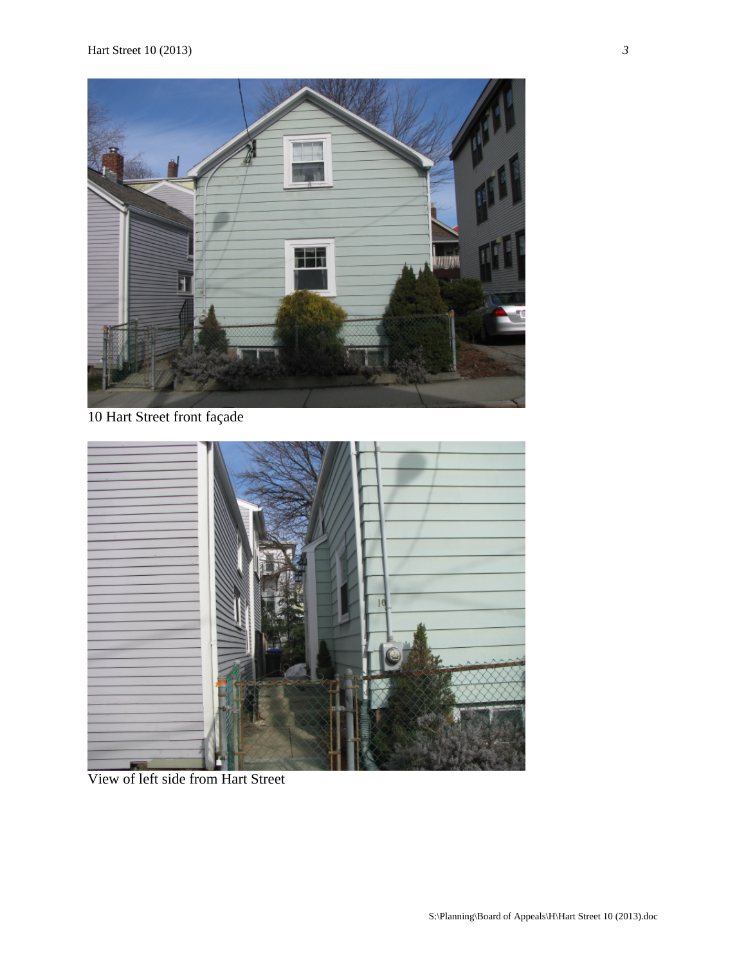

10 Hart Street front façade



View of left side from Hart Street